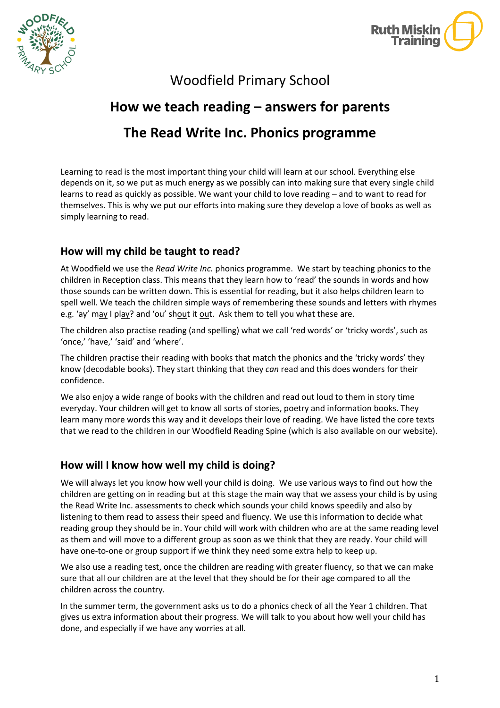



Woodfield Primary School

# **How we teach reading – answers for parents**

# **The Read Write Inc. Phonics programme**

Learning to read is the most important thing your child will learn at our school. Everything else depends on it, so we put as much energy as we possibly can into making sure that every single child learns to read as quickly as possible. We want your child to love reading – and to want to read for themselves. This is why we put our efforts into making sure they develop a love of books as well as simply learning to read.

# **How will my child be taught to read?**

At Woodfield we use the *Read Write Inc.* phonics programme. We start by teaching phonics to the children in Reception class. This means that they learn how to 'read' the sounds in words and how those sounds can be written down. This is essential for reading, but it also helps children learn to spell well. We teach the children simple ways of remembering these sounds and letters with rhymes e.g. 'ay' may I play? and 'ou' shout it out. Ask them to tell you what these are.

The children also practise reading (and spelling) what we call 'red words' or 'tricky words', such as 'once,' 'have,' 'said' and 'where'.

The children practise their reading with books that match the phonics and the 'tricky words' they know (decodable books). They start thinking that they *can* read and this does wonders for their confidence.

We also enjoy a wide range of books with the children and read out loud to them in story time everyday. Your children will get to know all sorts of stories, poetry and information books. They learn many more words this way and it develops their love of reading. We have listed the core texts that we read to the children in our Woodfield Reading Spine (which is also available on our website).

## **How will I know how well my child is doing?**

We will always let you know how well your child is doing. We use various ways to find out how the children are getting on in reading but at this stage the main way that we assess your child is by using the Read Write Inc. assessments to check which sounds your child knows speedily and also by listening to them read to assess their speed and fluency. We use this information to decide what reading group they should be in. Your child will work with children who are at the same reading level as them and will move to a different group as soon as we think that they are ready. Your child will have one-to-one or group support if we think they need some extra help to keep up.

We also use a reading test, once the children are reading with greater fluency, so that we can make with the london line sure that all our children are at the level that they should be for their age compared to all the children across the country.

In the summer term, the government asks us to do a phonics check of all the Year 1 children. That gives us extra information about their progress. We will talk to you about how well your child has done, and especially if we have any worries at all.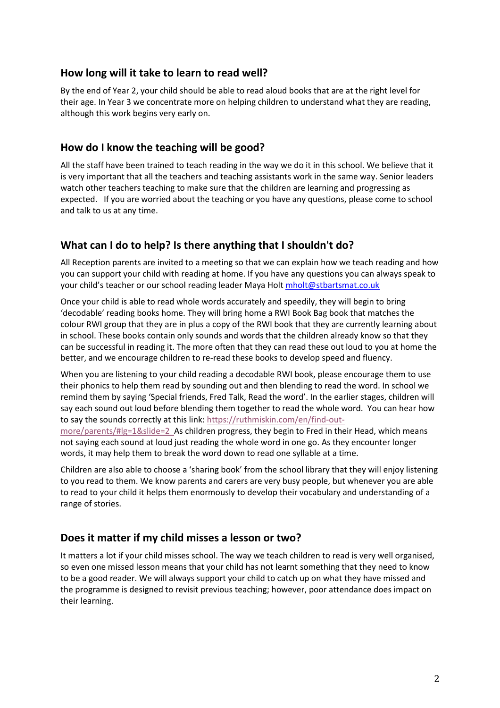#### **How long will it take to learn to read well?**

By the end of Year 2, your child should be able to read aloud books that are at the right level for their age. In Year 3 we concentrate more on helping children to understand what they are reading, although this work begins very early on.

#### **How do I know the teaching will be good?**

All the staff have been trained to teach reading in the way we do it in this school. We believe that it is very important that all the teachers and teaching assistants work in the same way. Senior leaders watch other teachers teaching to make sure that the children are learning and progressing as expected. If you are worried about the teaching or you have any questions, please come to school and talk to us at any time.

## **What can I do to help? Is there anything that I shouldn't do?**

All Reception parents are invited to a meeting so that we can explain how we teach reading and how you can support your child with reading at home. If you have any questions you can always speak to your child's teacher or our school reading leader Maya Holt [mholt@stbartsmat.co.uk](mailto:mholt@stbartsmat.co.uk)

Once your child is able to read whole words accurately and speedily, they will begin to bring 'decodable' reading books home. They will bring home a RWI Book Bag book that matches the colour RWI group that they are in plus a copy of the RWI book that they are currently learning about in school. These books contain only sounds and words that the children already know so that they can be successful in reading it. The more often that they can read these out loud to you at home the better, and we encourage children to re-read these books to develop speed and fluency.

When you are listening to your child reading a decodable RWI book, please encourage them to use their phonics to help them read by sounding out and then blending to read the word. In school we remind them by saying 'Special friends, Fred Talk, Read the word'. In the earlier stages, children will say each sound out loud before blending them together to read the whole word. You can hear how to say the sounds correctly at this link: [https://ruthmiskin.com/en/find-out-](https://ruthmiskin.com/en/find-out-more/parents/#lg=1&slide=2)

[more/parents/#lg=1&slide=2](https://ruthmiskin.com/en/find-out-more/parents/#lg=1&slide=2) As children progress, they begin to Fred in their Head, which means not saying each sound at loud just reading the whole word in one go. As they encounter longer words, it may help them to break the word down to read one syllable at a time.

Children are also able to choose a 'sharing book' from the school library that they will enjoy listening to you read to them. We know parents and carers are very busy people, but whenever you are able to read to your child it helps them enormously to develop their vocabulary and understanding of a range of stories.

## **Does it matter if my child misses a lesson or two?**

It matters a lot if your child misses school. The way we teach children to read is very well organised, so even one missed lesson means that your child has not learnt something that they need to know to be a good reader. We will always support your child to catch up on what they have missed and the programme is designed to revisit previous teaching; however, poor attendance does impact on their learning.